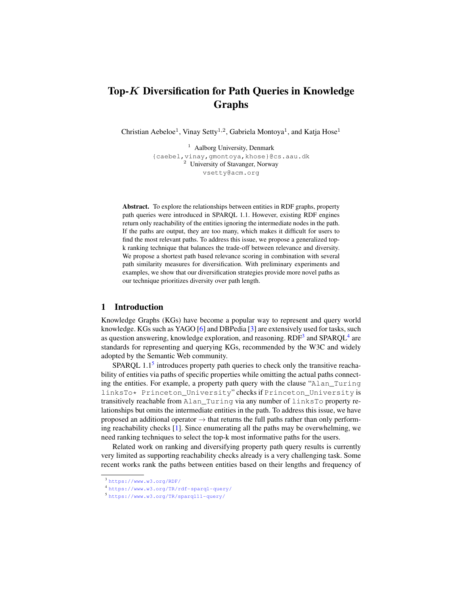# Top-K Diversification for Path Queries in Knowledge Graphs

Christian Aebeloe<sup>1</sup>, Vinay Setty<sup>1,2</sup>, Gabriela Montoya<sup>1</sup>, and Katja Hose<sup>1</sup>

<sup>1</sup> Aalborg University, Denmark {caebel,vinay,gmontoya,khose}@cs.aau.dk <sup>2</sup> University of Stavanger, Norway vsetty@acm.org

Abstract. To explore the relationships between entities in RDF graphs, property path queries were introduced in SPARQL 1.1. However, existing RDF engines return only reachability of the entities ignoring the intermediate nodes in the path. If the paths are output, they are too many, which makes it difficult for users to find the most relevant paths. To address this issue, we propose a generalized topk ranking technique that balances the trade-off between relevance and diversity. We propose a shortest path based relevance scoring in combination with several path similarity measures for diversification. With preliminary experiments and examples, we show that our diversification strategies provide more novel paths as our technique prioritizes diversity over path length.

### 1 Introduction

Knowledge Graphs (KGs) have become a popular way to represent and query world knowledge. KGs such as YAGO [\[6\]](#page-3-0) and DBPedia  $[3]$  are extensively used for tasks, such as question answering, knowledge exploration, and reasoning.  $RDF^3$  $RDF^3$  and  $SPARCL^4$  $SPARCL^4$  are standards for representing and querying KGs, recommended by the W3C and widely adopted by the Semantic Web community.

SPARQL  $1.1<sup>5</sup>$  $1.1<sup>5</sup>$  $1.1<sup>5</sup>$  introduces property path queries to check only the transitive reachability of entities via paths of specific properties while omitting the actual paths connecting the entities. For example, a property path query with the clause "Alan\_Turing linksTo\* Princeton\_University" checks if Princeton\_University is transitively reachable from Alan\_Turing via any number of linksTo property relationships but omits the intermediate entities in the path. To address this issue, we have proposed an additional operator  $\rightarrow$  that returns the full paths rather than only performing reachability checks [\[1\]](#page-3-2). Since enumerating all the paths may be overwhelming, we need ranking techniques to select the top-k most informative paths for the users.

Related work on ranking and diversifying property path query results is currently very limited as supporting reachability checks already is a very challenging task. Some recent works rank the paths between entities based on their lengths and frequency of

<span id="page-0-0"></span><sup>3</sup> <https://www.w3.org/RDF/>

<span id="page-0-1"></span><sup>4</sup> <https://www.w3.org/TR/rdf-sparql-query/>

<span id="page-0-2"></span><sup>5</sup> <https://www.w3.org/TR/sparql11-query/>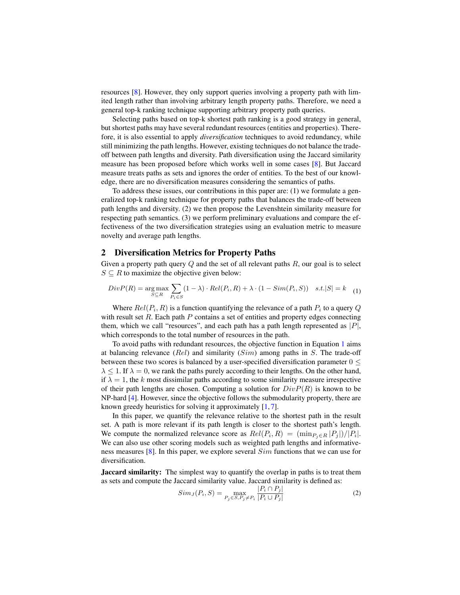resources [\[8\]](#page-3-3). However, they only support queries involving a property path with limited length rather than involving arbitrary length property paths. Therefore, we need a general top-k ranking technique supporting arbitrary property path queries.

Selecting paths based on top-k shortest path ranking is a good strategy in general, but shortest paths may have several redundant resources (entities and properties). Therefore, it is also essential to apply *diversification* techniques to avoid redundancy, while still minimizing the path lengths. However, existing techniques do not balance the tradeoff between path lengths and diversity. Path diversification using the Jaccard similarity measure has been proposed before which works well in some cases [\[8\]](#page-3-3). But Jaccard measure treats paths as sets and ignores the order of entities. To the best of our knowledge, there are no diversification measures considering the semantics of paths.

To address these issues, our contributions in this paper are: (1) we formulate a generalized top-k ranking technique for property paths that balances the trade-off between path lengths and diversity. (2) we then propose the Levenshtein similarity measure for respecting path semantics. (3) we perform preliminary evaluations and compare the effectiveness of the two diversification strategies using an evaluation metric to measure novelty and average path lengths.

## 2 Diversification Metrics for Property Paths

Given a property path query  $Q$  and the set of all relevant paths  $R$ , our goal is to select  $S \subseteq R$  to maximize the objective given below:

<span id="page-1-0"></span>
$$
Div P(R) = \underset{S \subseteq R}{\arg \max} \sum_{P_i \in S} (1 - \lambda) \cdot Rel(P_i, R) + \lambda \cdot (1 - Sim(P_i, S)) \quad s.t. |S| = k \quad (1)
$$

Where  $Rel(P_i, R)$  is a function quantifying the relevance of a path  $P_i$  to a query Q with result set  $R$ . Each path  $P$  contains a set of entities and property edges connecting them, which we call "resources", and each path has a path length represented as  $|P|$ , which corresponds to the total number of resources in the path.

To avoid paths with redundant resources, the objective function in Equation [1](#page-1-0) aims at balancing relevance  $(Rel)$  and similarity  $(Sim)$  among paths in S. The trade-off between these two scores is balanced by a user-specified diversification parameter  $0 \leq$  $\lambda \leq 1$ . If  $\lambda = 0$ , we rank the paths purely according to their lengths. On the other hand, if  $\lambda = 1$ , the k most dissimilar paths according to some similarity measure irrespective of their path lengths are chosen. Computing a solution for  $DivP(R)$  is known to be NP-hard [\[4\]](#page-3-4). However, since the objective follows the submodularity property, there are known greedy heuristics for solving it approximately [\[1,](#page-3-2) [7\]](#page-3-5).

In this paper, we quantify the relevance relative to the shortest path in the result set. A path is more relevant if its path length is closer to the shortest path's length. We compute the normalized relevance score as  $Rel(P_i, R) = (\min_{P_j \in R} |P_j|)/|P_i|$ . We can also use other scoring models such as weighted path lengths and informativeness measures [\[8\]](#page-3-3). In this paper, we explore several Sim functions that we can use for diversification.

**Jaccard similarity:** The simplest way to quantify the overlap in paths is to treat them as sets and compute the Jaccard similarity value. Jaccard similarity is defined as:

$$
Sim_J(P_i, S) = \max_{P_j \in S, P_j \neq P_i} \frac{|P_i \cap P_j|}{|P_i \cup P_j|}
$$
\n<sup>(2)</sup>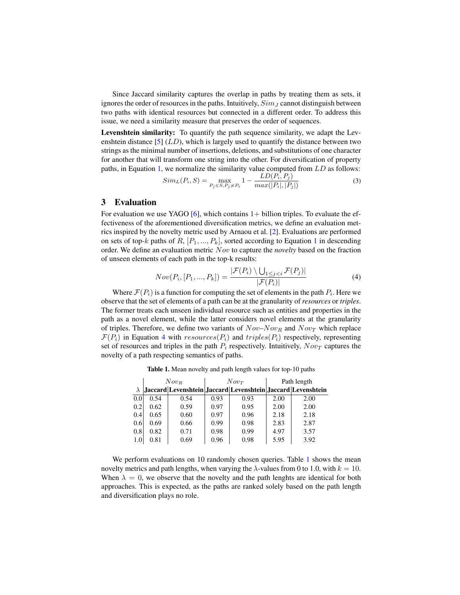Since Jaccard similarity captures the overlap in paths by treating them as sets, it ignores the order of resources in the paths. Intuitively,  $Sim_J$  cannot distinguish between two paths with identical resources but connected in a different order. To address this issue, we need a similarity measure that preserves the order of sequences.

Levenshtein similarity: To quantify the path sequence similarity, we adapt the Levenshtein distance  $[5]$  (LD), which is largely used to quantify the distance between two strings as the minimal number of insertions, deletions, and substitutions of one character for another that will transform one string into the other. For diversification of property paths, in Equation [1,](#page-1-0) we normalize the similarity value computed from LD as follows:

$$
Sim_L(P_i, S) = \max_{P_j \in S, P_j \neq P_i} 1 - \frac{LD(P_i, P_j)}{max(|P_i|, |P_j|)}
$$
(3)

## 3 Evaluation

For evaluation we use YAGO  $[6]$ , which contains  $1+$  billion triples. To evaluate the effectiveness of the aforementioned diversification metrics, we define an evaluation metrics inspired by the novelty metric used by Arnaou et al. [\[2\]](#page-3-7). Evaluations are performed on sets of top-k paths of R,  $[P_1, ..., P_k]$  $[P_1, ..., P_k]$  $[P_1, ..., P_k]$ , sorted according to Equation 1 in descending order. We define an evaluation metric Nov to capture the *novelty* based on the fraction of unseen elements of each path in the top-k results:

<span id="page-2-0"></span>
$$
Nov(P_i, [P_1, ..., P_k]) = \frac{|\mathcal{F}(P_i) \setminus \bigcup_{1 \leq j < i} \mathcal{F}(P_j)|}{|\mathcal{F}(P_i)|} \tag{4}
$$

Where  $\mathcal{F}(P_i)$  is a function for computing the set of elements in the path  $P_i$ . Here we observe that the set of elements of a path can be at the granularity of *resources* or *triples*. The former treats each unseen individual resource such as entities and properties in the path as a novel element, while the latter considers novel elements at the granularity of triples. Therefore, we define two variants of  $Nov-Nov_R$  and  $Nov_T$  which replace  $\mathcal{F}(P_i)$  in Equation [4](#page-2-0) with  $resources(P_i)$  and  $triples(P_i)$  respectively, representing set of resources and triples in the path  $P_i$  respectively. Intuitively,  $Now_T$  captures the novelty of a path respecting semantics of paths.

<span id="page-2-1"></span>Table 1. Mean novelty and path length values for top-10 paths

|     | $Now_R$ |                                                             | $Now_T$ |      | Path length |      |
|-----|---------|-------------------------------------------------------------|---------|------|-------------|------|
|     |         | Jaccard Levenshtein Jaccard Levenshtein Jaccard Levenshtein |         |      |             |      |
| 0.0 | 0.54    | 0.54                                                        | 0.93    | 0.93 | 2.00        | 2.00 |
| 0.2 | 0.62    | 0.59                                                        | 0.97    | 0.95 | 2.00        | 2.00 |
| 0.4 | 0.65    | 0.60                                                        | 0.97    | 0.96 | 2.18        | 2.18 |
| 0.6 | 0.69    | 0.66                                                        | 0.99    | 0.98 | 2.83        | 2.87 |
| 0.8 | 0.82    | 0.71                                                        | 0.98    | 0.99 | 4.97        | 3.57 |
| 1.0 | 0.81    | 0.69                                                        | 0.96    | 0.98 | 5.95        | 3.92 |

We perform evaluations on [1](#page-2-1)0 randomly chosen queries. Table 1 shows the mean novelty metrics and path lengths, when varying the  $\lambda$ -values from 0 to 1.0, with  $k = 10$ . When  $\lambda = 0$ , we observe that the novelty and the path lenghts are identical for both approaches. This is expected, as the paths are ranked solely based on the path length and diversification plays no role.